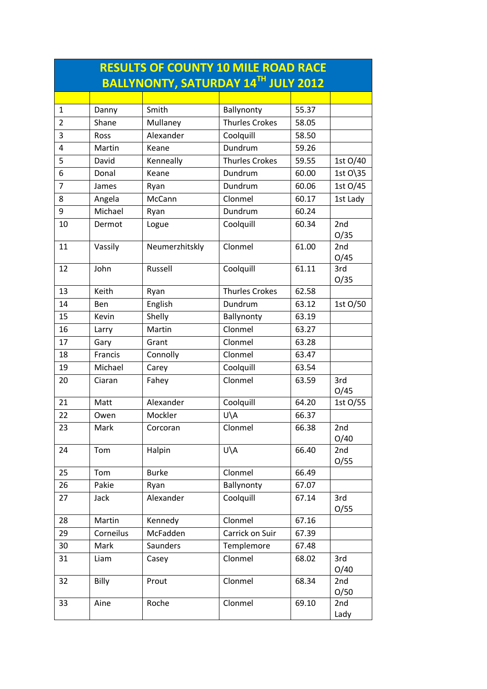| <b>RESULTS OF COUNTY 10 MILE ROAD RACE</b> |           |                                     |                       |       |             |  |
|--------------------------------------------|-----------|-------------------------------------|-----------------------|-------|-------------|--|
|                                            |           | BALLYNONTY, SATURDAY 14TH JULY 2012 |                       |       |             |  |
|                                            |           |                                     |                       |       |             |  |
| 1                                          | Danny     | Smith                               | Ballynonty            | 55.37 |             |  |
| $\overline{2}$                             | Shane     | Mullaney                            | <b>Thurles Crokes</b> | 58.05 |             |  |
| 3                                          | Ross      | Alexander                           | Coolquill             | 58.50 |             |  |
| 4                                          | Martin    | Keane                               | Dundrum               | 59.26 |             |  |
| 5                                          | David     | Kenneally                           | <b>Thurles Crokes</b> | 59.55 | 1st O/40    |  |
| 6                                          | Donal     | Keane                               | Dundrum               | 60.00 | 1st O\35    |  |
| $\overline{7}$                             | James     | Ryan                                | Dundrum               | 60.06 | 1st O/45    |  |
| 8                                          | Angela    | McCann                              | Clonmel               | 60.17 | 1st Lady    |  |
| 9                                          | Michael   | Ryan                                | Dundrum               | 60.24 |             |  |
| 10                                         | Dermot    | Logue                               | Coolquill             | 60.34 | 2nd<br>O/35 |  |
| 11                                         | Vassily   | Neumerzhitskly                      | Clonmel               | 61.00 | 2nd<br>O/45 |  |
| 12                                         | John      | Russell                             | Coolquill             | 61.11 | 3rd<br>O/35 |  |
| 13                                         | Keith     | Ryan                                | <b>Thurles Crokes</b> | 62.58 |             |  |
| 14                                         | Ben       | English                             | Dundrum               | 63.12 | 1st O/50    |  |
| 15                                         | Kevin     | Shelly                              | Ballynonty            | 63.19 |             |  |
| 16                                         | Larry     | Martin                              | Clonmel               | 63.27 |             |  |
| 17                                         | Gary      | Grant                               | Clonmel               | 63.28 |             |  |
| 18                                         | Francis   | Connolly                            | Clonmel               | 63.47 |             |  |
| 19                                         | Michael   | Carey                               | Coolquill             | 63.54 |             |  |
| 20                                         | Ciaran    | Fahey                               | Clonmel               | 63.59 | 3rd<br>O/45 |  |
| 21                                         | Matt      | Alexander                           | Coolquill             | 64.20 | 1st O/55    |  |
| 22                                         | Owen      | Mockler                             | U\A                   | 66.37 |             |  |
| 23                                         | Mark      | Corcoran                            | Clonmel               | 66.38 | 2nd         |  |
|                                            |           |                                     |                       |       | O/40        |  |
| 24                                         | Tom       | Halpin                              | U\A                   | 66.40 | 2nd<br>O/55 |  |
| 25                                         | Tom       | <b>Burke</b>                        | Clonmel               | 66.49 |             |  |
| 26                                         | Pakie     | Ryan                                | Ballynonty            | 67.07 |             |  |
| 27                                         | Jack      | Alexander                           | Coolquill             | 67.14 | 3rd<br>O/55 |  |
| 28                                         | Martin    | Kennedy                             | Clonmel               | 67.16 |             |  |
| 29                                         | Corneilus | McFadden                            | Carrick on Suir       | 67.39 |             |  |
| 30                                         | Mark      | Saunders                            | Templemore            | 67.48 |             |  |
| 31                                         | Liam      | Casey                               | Clonmel               | 68.02 | 3rd<br>O/40 |  |
| 32                                         | Billy     | Prout                               | Clonmel               | 68.34 | 2nd<br>O/50 |  |
| 33                                         | Aine      | Roche                               | Clonmel               | 69.10 | 2nd<br>Lady |  |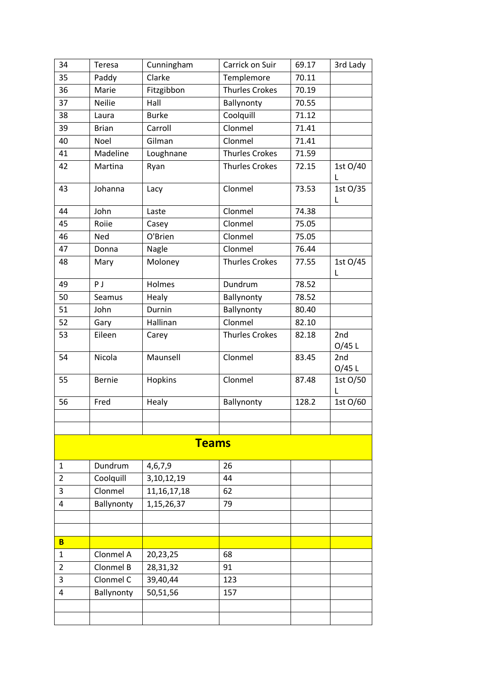| 34                      | Teresa        | Cunningham     | Carrick on Suir       | 69.17 | 3rd Lady      |
|-------------------------|---------------|----------------|-----------------------|-------|---------------|
| 35                      | Paddy         | Clarke         | Templemore            | 70.11 |               |
| 36                      | Marie         | Fitzgibbon     | <b>Thurles Crokes</b> | 70.19 |               |
| 37                      | Neilie        | Hall           | Ballynonty            | 70.55 |               |
| 38                      | Laura         | <b>Burke</b>   | Coolquill             | 71.12 |               |
| 39                      | <b>Brian</b>  | Carroll        | Clonmel               | 71.41 |               |
| 40                      | Noel          | Gilman         | Clonmel               | 71.41 |               |
| 41                      | Madeline      | Loughnane      | <b>Thurles Crokes</b> | 71.59 |               |
| 42                      | Martina       | Ryan           | <b>Thurles Crokes</b> | 72.15 | 1st O/40<br>L |
| 43                      | Johanna       | Lacy           | Clonmel               | 73.53 | 1st O/35<br>L |
| 44                      | John          | Laste          | Clonmel               | 74.38 |               |
| 45                      | Roiie         | Casey          | Clonmel               | 75.05 |               |
| 46                      | Ned           | O'Brien        | Clonmel               | 75.05 |               |
| 47                      | Donna         | Nagle          | Clonmel               | 76.44 |               |
| 48                      | Mary          | Moloney        | <b>Thurles Crokes</b> | 77.55 | 1st O/45<br>L |
| 49                      | PJ            | Holmes         | Dundrum               | 78.52 |               |
| 50                      | Seamus        | Healy          | Ballynonty            | 78.52 |               |
| 51                      | John          | Durnin         | Ballynonty            | 80.40 |               |
| 52                      | Gary          | Hallinan       | Clonmel               | 82.10 |               |
| 53                      | Eileen        | Carey          | <b>Thurles Crokes</b> | 82.18 | 2nd<br>O/45 L |
| 54                      | Nicola        | Maunsell       | Clonmel               | 83.45 | 2nd<br>O/45 L |
| 55                      | <b>Bernie</b> | Hopkins        | Clonmel               | 87.48 | 1st O/50<br>L |
| 56                      | Fred          | Healy          | Ballynonty            | 128.2 | 1st O/60      |
|                         |               |                |                       |       |               |
|                         |               |                |                       |       |               |
|                         |               | <b>Teams</b>   |                       |       |               |
| $\mathbf{1}$            | Dundrum       | 4,6,7,9        | 26                    |       |               |
| $\overline{2}$          | Coolquill     | 3,10,12,19     | 44                    |       |               |
| 3                       | Clonmel       | 11, 16, 17, 18 | 62                    |       |               |
| $\overline{\mathbf{4}}$ | Ballynonty    | 1,15,26,37     | 79                    |       |               |
|                         |               |                |                       |       |               |
|                         |               |                |                       |       |               |
| B                       |               |                |                       |       |               |
| $\mathbf{1}$            | Clonmel A     | 20,23,25       | 68                    |       |               |
| $\overline{2}$          | Clonmel B     | 28,31,32       | 91                    |       |               |
| 3                       | Clonmel C     | 39,40,44       | 123                   |       |               |
| $\overline{4}$          | Ballynonty    | 50,51,56       | 157                   |       |               |
|                         |               |                |                       |       |               |
|                         |               |                |                       |       |               |